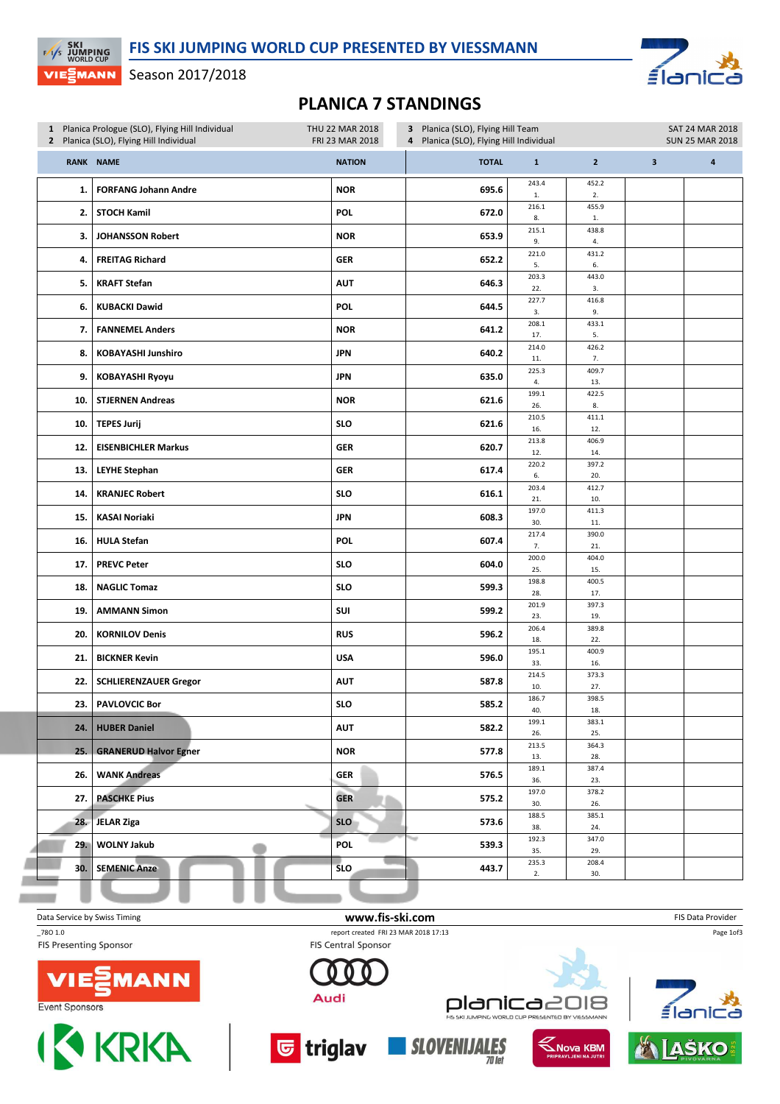≦ĺa

Season 2017/2018

**EXI**<br>EXIS JUMPING

VIE EMANN

л

## PLANICA 7 STANDINGS

| 1 Planica Prologue (SLO), Flying Hill Individual<br>2 Planica (SLO), Flying Hill Individual |                              | THU 22 MAR 2018<br>3 Planica (SLO), Flying Hill Team<br>FRI 23 MAR 2018<br>4 Planica (SLO), Flying Hill Individual |              |                      | SAT 24 MAR 2018<br><b>SUN 25 MAR 2018</b> |                         |   |  |
|---------------------------------------------------------------------------------------------|------------------------------|--------------------------------------------------------------------------------------------------------------------|--------------|----------------------|-------------------------------------------|-------------------------|---|--|
|                                                                                             | RANK NAME                    | <b>NATION</b>                                                                                                      | <b>TOTAL</b> | $\mathbf 1$          | $\overline{2}$                            | $\overline{\mathbf{3}}$ | 4 |  |
| 1.                                                                                          | <b>FORFANG Johann Andre</b>  | <b>NOR</b>                                                                                                         | 695.6        | 243.4<br>$1.$        | 452.2<br>2.                               |                         |   |  |
| 2.                                                                                          | <b>STOCH Kamil</b>           | POL                                                                                                                | 672.0        | 216.1<br>8.          | 455.9<br>$1. \,$                          |                         |   |  |
| 3.                                                                                          | <b>JOHANSSON Robert</b>      | <b>NOR</b>                                                                                                         | 653.9        | 215.1<br>9.          | 438.8<br>4.                               |                         |   |  |
| 4.                                                                                          | <b>FREITAG Richard</b>       | <b>GER</b>                                                                                                         | 652.2        | 221.0<br>5.          | 431.2<br>6.                               |                         |   |  |
| 5.                                                                                          | <b>KRAFT Stefan</b>          | <b>AUT</b>                                                                                                         | 646.3        | 203.3<br>22.         | 443.0<br>3.                               |                         |   |  |
| 6.                                                                                          | <b>KUBACKI Dawid</b>         | POL                                                                                                                | 644.5        | 227.7<br>3.          | 416.8<br>9.                               |                         |   |  |
| 7.                                                                                          | <b>FANNEMEL Anders</b>       | <b>NOR</b>                                                                                                         | 641.2        | 208.1<br>17.         | 433.1<br>5.                               |                         |   |  |
| 8.                                                                                          | <b>KOBAYASHI Junshiro</b>    | <b>JPN</b>                                                                                                         | 640.2        | 214.0<br>11.         | 426.2<br>7.                               |                         |   |  |
| 9.                                                                                          | <b>KOBAYASHI Ryoyu</b>       | <b>JPN</b>                                                                                                         | 635.0        | 225.3<br>4.          | 409.7<br>13.                              |                         |   |  |
| 10.                                                                                         | <b>STJERNEN Andreas</b>      | <b>NOR</b>                                                                                                         | 621.6        | 199.1<br>26.         | 422.5<br>8.                               |                         |   |  |
| 10.                                                                                         | <b>TEPES Jurij</b>           | <b>SLO</b>                                                                                                         | 621.6        | 210.5<br>16.         | 411.1<br>12.                              |                         |   |  |
| 12.                                                                                         | <b>EISENBICHLER Markus</b>   | GER                                                                                                                | 620.7        | 213.8<br>12.         | 406.9<br>14.                              |                         |   |  |
| 13.                                                                                         | <b>LEYHE Stephan</b>         | <b>GER</b>                                                                                                         | 617.4        | 220.2<br>6.<br>203.4 | 397.2<br>20.<br>412.7                     |                         |   |  |
| 14.                                                                                         | <b>KRANJEC Robert</b>        | <b>SLO</b>                                                                                                         | 616.1        | 21.<br>197.0         | 10.<br>411.3                              |                         |   |  |
| 15.                                                                                         | <b>KASAI Noriaki</b>         | <b>JPN</b>                                                                                                         | 608.3        | 30.                  | 11.                                       |                         |   |  |
| 16.                                                                                         | <b>HULA Stefan</b>           | POL                                                                                                                | 607.4        | 217.4<br>7.<br>200.0 | 390.0<br>21.<br>404.0                     |                         |   |  |
| 17.                                                                                         | <b>PREVC Peter</b>           | <b>SLO</b>                                                                                                         | 604.0        | 25.<br>198.8         | 15.<br>400.5                              |                         |   |  |
| 18.                                                                                         | <b>NAGLIC Tomaz</b>          | <b>SLO</b>                                                                                                         | 599.3        | 28.                  | 17.                                       |                         |   |  |
| 19.                                                                                         | <b>AMMANN Simon</b>          | SUI                                                                                                                | 599.2        | 201.9<br>23.         | 397.3<br>19.                              |                         |   |  |
| 20.                                                                                         | <b>KORNILOV Denis</b>        | <b>RUS</b>                                                                                                         | 596.2        | 206.4<br>18.         | 389.8<br>22.                              |                         |   |  |
| 21.                                                                                         | <b>BICKNER Kevin</b>         | <b>USA</b>                                                                                                         | 596.0        | 195.1<br>33.         | 400.9<br>16.                              |                         |   |  |
| 22.                                                                                         | <b>SCHLIERENZAUER Gregor</b> | AUT                                                                                                                | 587.8        | 214.5<br>10.         | 373.3<br>27.                              |                         |   |  |
|                                                                                             | 23. PAVLOVCIC Bor            | <b>SLO</b>                                                                                                         | 585.2        | 186.7<br>40.         | 398.5<br>18.                              |                         |   |  |
| 24.                                                                                         | <b>HUBER Daniel</b>          | <b>AUT</b>                                                                                                         | 582.2        | 199.1<br>26.         | 383.1<br>25.                              |                         |   |  |
| 25.                                                                                         | <b>GRANERUD Halvor Egner</b> | <b>NOR</b>                                                                                                         | 577.8        | 213.5<br>13.         | 364.3<br>28.                              |                         |   |  |
| 26.                                                                                         | <b>WANK Andreas</b>          | <b>GER</b>                                                                                                         | 576.5        | 189.1<br>36.         | 387.4<br>23.                              |                         |   |  |
| 27.                                                                                         | <b>PASCHKE Pius</b>          | <b>GER</b>                                                                                                         | 575.2        | 197.0<br>30.         | 378.2<br>26.                              |                         |   |  |
| 28.                                                                                         | <b>JELAR Ziga</b>            | <b>SLO</b>                                                                                                         | 573.6        | 188.5<br>38.         | 385.1<br>24.                              |                         |   |  |
| 29. I                                                                                       | <b>WOLNY Jakub</b>           | POL                                                                                                                | ₩<br>539.3   | 192.3<br>35.         | 347.0<br>29.                              |                         |   |  |
| 30. l                                                                                       | <b>SEMENIC Anze</b>          | <b>SLO</b>                                                                                                         | 443.7        | 235.3<br>2.          | 208.4<br>30.                              |                         |   |  |
|                                                                                             |                              |                                                                                                                    |              |                      |                                           |                         |   |  |

Data Service by Swiss Timing **EXECUTE 19 The ST ATT SERVICE COM CONTROL** FIS Data Provider \_78O 1.0 report created FRI 23 MAR 2018 17:13 Page 1of3**FIS Presenting Sponsor FIS Central Sponsor** 1ANN Audi planica2018 ≦lar Event Sponsors ORLD CUP PRESENTED BY VIESSMANN **I & KRKA** <mark>ড</mark> triglav **SLOVENIJALES KNOVA KBM JAŠKO**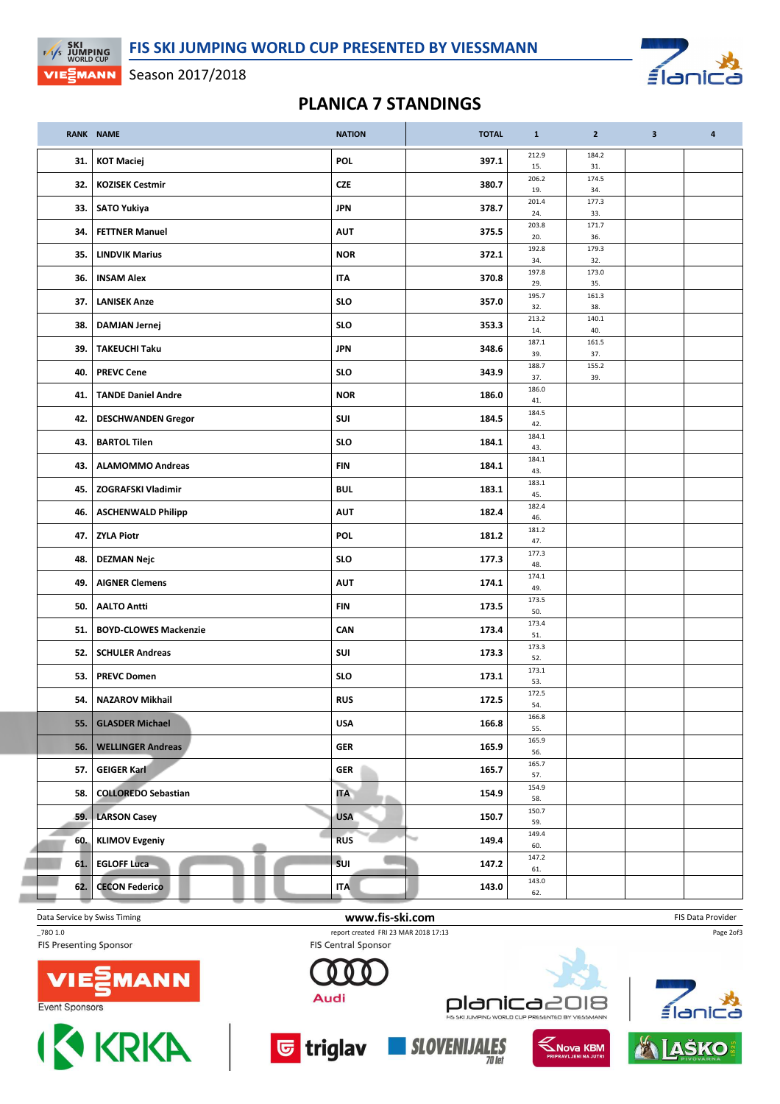≦la

## Season 2017/2018

 $F/1/s$  SKI<br>EXPLASE UNDER CUP

VIE EMANN

## PLANICA 7 STANDINGS

|     | <b>RANK NAME</b>             | <b>NATION</b>   | <b>TOTAL</b> | $\mathbf{1}$ | $\overline{2}$ | $\mathbf{3}$ | $\overline{a}$ |
|-----|------------------------------|-----------------|--------------|--------------|----------------|--------------|----------------|
| 31. | <b>KOT Maciej</b>            | POL             | 397.1        | 212.9<br>15. | 184.2<br>31.   |              |                |
| 32. | <b>KOZISEK Cestmir</b>       | <b>CZE</b>      | 380.7        | 206.2<br>19. | 174.5<br>34.   |              |                |
| 33. | <b>SATO Yukiya</b>           | JPN             | 378.7        | 201.4<br>24. | 177.3<br>33.   |              |                |
| 34. | <b>FETTNER Manuel</b>        | <b>AUT</b>      | 375.5        | 203.8<br>20. | 171.7<br>36.   |              |                |
| 35. | <b>LINDVIK Marius</b>        | <b>NOR</b>      | 372.1        | 192.8<br>34. | 179.3<br>32.   |              |                |
| 36. | <b>INSAM Alex</b>            | <b>ITA</b>      | 370.8        | 197.8<br>29. | 173.0<br>35.   |              |                |
| 37. | <b>LANISEK Anze</b>          | <b>SLO</b>      | 357.0        | 195.7<br>32. | 161.3<br>38.   |              |                |
| 38. | <b>DAMJAN Jernej</b>         | <b>SLO</b>      | 353.3        | 213.2<br>14. | 140.1<br>40.   |              |                |
| 39. | <b>TAKEUCHI Taku</b>         | <b>JPN</b>      | 348.6        | 187.1<br>39. | 161.5<br>37.   |              |                |
| 40. | <b>PREVC Cene</b>            | <b>SLO</b>      | 343.9        | 188.7<br>37. | 155.2<br>39.   |              |                |
| 41. | <b>TANDE Daniel Andre</b>    | <b>NOR</b>      | 186.0        | 186.0<br>41. |                |              |                |
| 42. | <b>DESCHWANDEN Gregor</b>    | SUI             | 184.5        | 184.5<br>42. |                |              |                |
| 43. | <b>BARTOL Tilen</b>          | <b>SLO</b>      | 184.1        | 184.1<br>43. |                |              |                |
| 43. | <b>ALAMOMMO Andreas</b>      | <b>FIN</b>      | 184.1        | 184.1<br>43. |                |              |                |
| 45. | <b>ZOGRAFSKI Vladimir</b>    | <b>BUL</b>      | 183.1        | 183.1<br>45. |                |              |                |
| 46. | <b>ASCHENWALD Philipp</b>    | <b>AUT</b>      | 182.4        | 182.4<br>46. |                |              |                |
| 47. | <b>ZYLA Piotr</b>            | <b>POL</b>      | 181.2        | 181.2<br>47. |                |              |                |
| 48. | <b>DEZMAN Nejc</b>           | <b>SLO</b>      | 177.3        | 177.3<br>48. |                |              |                |
| 49. | <b>AIGNER Clemens</b>        | AUT             | 174.1        | 174.1<br>49. |                |              |                |
| 50. | <b>AALTO Antti</b>           | FIN             | 173.5        | 173.5<br>50. |                |              |                |
| 51. | <b>BOYD-CLOWES Mackenzie</b> | CAN             | 173.4        | 173.4<br>51. |                |              |                |
| 52. | <b>SCHULER Andreas</b>       | SUI             | 173.3        | 173.3<br>52. |                |              |                |
| 53. | <b>PREVC Domen</b>           | <b>SLO</b>      | 173.1        | 173.1<br>53. |                |              |                |
| 54. | <b>NAZAROV Mikhail</b>       | <b>RUS</b>      | 172.5        | 172.5<br>54. |                |              |                |
| 55. | <b>GLASDER Michael</b>       | <b>USA</b>      | 166.8        | 166.8<br>55. |                |              |                |
| 56. | <b>WELLINGER Andreas</b>     | <b>GER</b>      | 165.9        | 165.9<br>56. |                |              |                |
| 57. | <b>GEIGER Karl</b>           | <b>GER</b>      | 165.7        | 165.7<br>57. |                |              |                |
| 58. | <b>COLLOREDO Sebastian</b>   | <b>ITA</b><br>٠ | 154.9        | 154.9<br>58. |                |              |                |
| 59. | <b>LARSON Casey</b>          | <b>USA</b>      | 150.7        | 150.7<br>59. |                |              |                |
| 60. | <b>KLIMOV Evgeniy</b>        | <b>RUS</b>      | 149.4<br>w   | 149.4<br>60. |                |              |                |
| 61. | <b>EGLOFF Luca</b>           | sul             | 147.2        | 147.2<br>61. |                |              |                |
| 62. | <b>CECON Federico</b>        | <b>ITA</b>      | 143.0        | 143.0<br>62. |                |              |                |
|     |                              |                 |              |              |                |              |                |

**FIS Presenting Sponsor** 



\_78O 1.0 report created FRI 23 MAR 2018 17:13 **FIS Central Sponsor** 



<mark>ড</mark> triglav





Page 2of3

Event Sponsors



1ANN